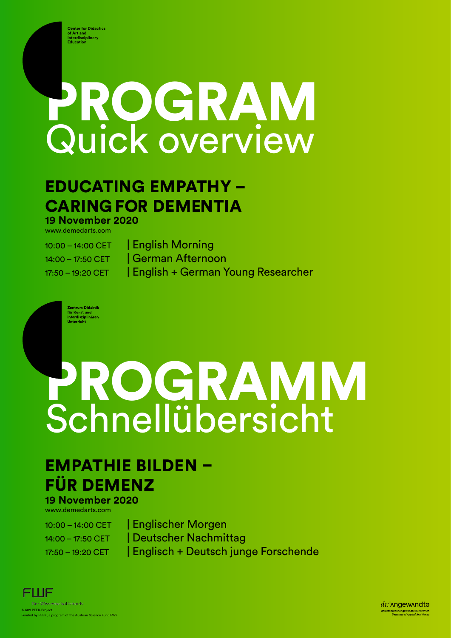**Center for Didactics of Art and Interdisciplinary Education**

# PROGRAM Quick overview

#### EDUCATING EMPATHY – CARING FOR DEMENTIA **19 November 2020**

www.demedarts.com

10:00 – 14:00 CET | English Morning 14:00 – 17:50 CET | German Afternoon 17:50 – 19:20 CET | English + German Young Researcher

Zentrum Didaktik<br>für Kunst und<br>interdisziplinären<br>Unterricht

## PROGRAMM Schnellübersicht

### EMPATHIE BILDEN – FÜR DEMENZ

**19 November 2020** www.demedarts.com

10:00 – 14:00 CET | Englischer Morgen 14:00 – 17:50 CET | Deutscher Nachmittag 17:50 – 19:20 CET | Englisch + Deutsch junge Forschende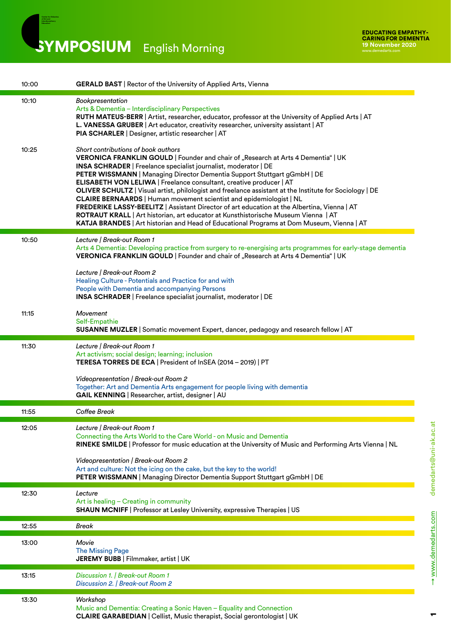SYMPOSIUM English Morning

**Center for Didactics of Art and Interdisciplinary Education**

| 10:00 | <b>GERALD BAST</b>   Rector of the University of Applied Arts, Vienna                                                                                                                                                                                                                                                                                                                                                                                                                                                                                                                                                                                                                                                                                                                                              |
|-------|--------------------------------------------------------------------------------------------------------------------------------------------------------------------------------------------------------------------------------------------------------------------------------------------------------------------------------------------------------------------------------------------------------------------------------------------------------------------------------------------------------------------------------------------------------------------------------------------------------------------------------------------------------------------------------------------------------------------------------------------------------------------------------------------------------------------|
| 10:10 | Bookpresentation<br>Arts & Dementia - Interdisciplinary Perspectives<br>RUTH MATEUS-BERR   Artist, researcher, educator, professor at the University of Applied Arts   AT<br>L. VANESSA GRUBER   Art educator, creativity researcher, university assistant   AT<br>PIA SCHARLER   Designer, artistic researcher   AT                                                                                                                                                                                                                                                                                                                                                                                                                                                                                               |
| 10:25 | Short contributions of book authors<br>VERONICA FRANKLIN GOULD   Founder and chair of "Research at Arts 4 Dementia"   UK<br>INSA SCHRADER   Freelance specialist journalist, moderator   DE<br>PETER WISSMANN   Managing Director Dementia Support Stuttgart gGmbH   DE<br>ELISABETH VON LELIWA   Freelance consultant, creative producer   AT<br>OLIVER SCHULTZ   Visual artist, philologist and freelance assistant at the Institute for Sociology   DE<br>CLAIRE BERNAARDS   Human movement scientist and epidemiologist   NL<br>FREDERIKE LASSY-BEELITZ   Assistant Director of art education at the Albertina, Vienna   AT<br>ROTRAUT KRALL   Art historian, art educator at Kunsthistorische Museum Vienna   AT<br>KATJA BRANDES   Art historian and Head of Educational Programs at Dom Museum, Vienna   AT |
| 10:50 | Lecture   Break-out Room 1<br>Arts 4 Dementia: Developing practice from surgery to re-energising arts programmes for early-stage dementia<br>VERONICA FRANKLIN GOULD   Founder and chair of "Research at Arts 4 Dementia"   UK<br>Lecture   Break-out Room 2<br>Healing Culture - Potentials and Practice for and with                                                                                                                                                                                                                                                                                                                                                                                                                                                                                             |
|       | People with Dementia and accompanying Persons<br>INSA SCHRADER   Freelance specialist journalist, moderator   DE                                                                                                                                                                                                                                                                                                                                                                                                                                                                                                                                                                                                                                                                                                   |
| 11:15 | Movement<br>Self-Empathie<br>SUSANNE MUZLER   Somatic movement Expert, dancer, pedagogy and research fellow   AT                                                                                                                                                                                                                                                                                                                                                                                                                                                                                                                                                                                                                                                                                                   |
| 11:30 | Lecture   Break-out Room 1<br>Art activism; social design; learning; inclusion<br>TERESA TORRES DE ECA   President of InSEA (2014 - 2019)   PT<br>Videopresentation   Break-out Room 2<br>Together: Art and Dementia Arts engagement for people living with dementia<br>GAIL KENNING   Researcher, artist, designer   AU                                                                                                                                                                                                                                                                                                                                                                                                                                                                                           |
| 11:55 | Coffee Break                                                                                                                                                                                                                                                                                                                                                                                                                                                                                                                                                                                                                                                                                                                                                                                                       |
| 12:05 | Lecture   Break-out Room 1<br>Connecting the Arts World to the Care World - on Music and Dementia<br>RINEKE SMILDE   Professor for music education at the University of Music and Performing Arts Vienna   NL<br>Videopresentation   Break-out Room 2<br>Art and culture: Not the icing on the cake, but the key to the world!<br>PETER WISSMANN   Managing Director Dementia Support Stuttgart gGmbH   DE                                                                                                                                                                                                                                                                                                                                                                                                         |
| 12:30 | Lecture<br>Art is healing - Creating in community<br>SHAUN MCNIFF   Professor at Lesley University, expressive Therapies   US                                                                                                                                                                                                                                                                                                                                                                                                                                                                                                                                                                                                                                                                                      |
| 12:55 | Break                                                                                                                                                                                                                                                                                                                                                                                                                                                                                                                                                                                                                                                                                                                                                                                                              |
| 13:00 | Movie<br><b>The Missing Page</b><br>JEREMY BUBB   Filmmaker, artist   UK                                                                                                                                                                                                                                                                                                                                                                                                                                                                                                                                                                                                                                                                                                                                           |
| 13:15 | Discussion 1.   Break-out Room 1<br>Discussion 2.   Break-out Room 2                                                                                                                                                                                                                                                                                                                                                                                                                                                                                                                                                                                                                                                                                                                                               |
| 13:30 | Workshop<br>Music and Dementia: Creating a Sonic Haven - Equality and Connection<br>CLAIRE GARABEDIAN   Cellist, Music therapist, Social gerontologist   UK                                                                                                                                                                                                                                                                                                                                                                                                                                                                                                                                                                                                                                                        |

 $\blacksquare$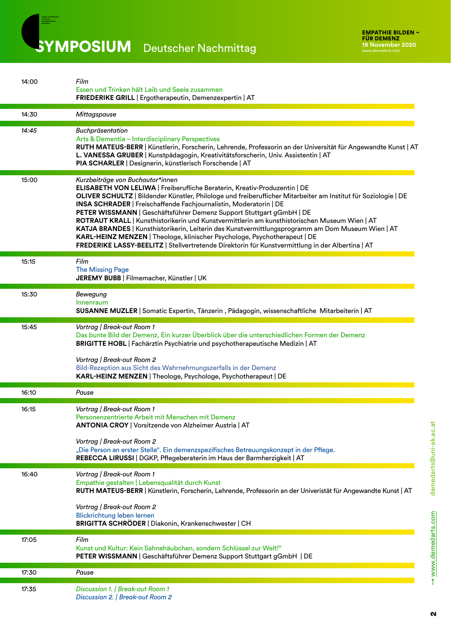SYMPOSIUM Deutscher Nachmittag

**Center for Didactics of Art and Interdisciplinary Education**

| 14:00 | Film<br>Essen und Trinken hält Leib und Seele zusammen<br>FRIEDERIKE GRILL   Ergotherapeutin, Demenzexpertin   AT                                                                                                                                                                                                                                                                                                                                                                                                                                                                                                                                                                                                                                                   |
|-------|---------------------------------------------------------------------------------------------------------------------------------------------------------------------------------------------------------------------------------------------------------------------------------------------------------------------------------------------------------------------------------------------------------------------------------------------------------------------------------------------------------------------------------------------------------------------------------------------------------------------------------------------------------------------------------------------------------------------------------------------------------------------|
| 14:30 | Mittagspause                                                                                                                                                                                                                                                                                                                                                                                                                                                                                                                                                                                                                                                                                                                                                        |
| 14:45 | Buchpräsentation<br>Arts & Dementia - Interdisciplinary Perspectives<br>RUTH MATEUS-BERR   Künstlerin, Forscherin, Lehrende, Professorin an der Universität für Angewandte Kunst   AT<br>L. VANESSA GRUBER   Kunstpädagogin, Kreativitätsforscherin, Univ. Assistentin   AT<br>PIA SCHARLER   Designerin, künstlerisch Forschende   AT                                                                                                                                                                                                                                                                                                                                                                                                                              |
| 15:00 | Kurzbeiträge von Buchautor*innen<br>ELISABETH VON LELIWA   Freiberufliche Beraterin, Kreativ-Produzentin   DE<br>OLIVER SCHULTZ   Bildender Künstler, Philologe und freiberuflicher Mitarbeiter am Institut für Soziologie   DE<br>INSA SCHRADER   Freischaffende Fachjournalistin, Moderatorin   DE<br>PETER WISSMANN   Geschäftsführer Demenz Support Stuttgart gGmbH   DE<br>ROTRAUT KRALL   Kunsthistorikerin und Kunstvermittlerin am kunsthistorischen Museum Wien   AT<br>KATJA BRANDES   Kunsthistorikerin, Leiterin des Kunstvermittlungsprogramm am Dom Museum Wien   AT<br>KARL-HEINZ MENZEN   Theologe, klinischer Psychologe, Psychotherapeut   DE<br>FREDERIKE LASSY-BEELITZ   Stellvertretende Direktorin für Kunstvermittlung in der Albertina   AT |
| 15:15 | Film<br><b>The Missing Page</b><br>JEREMY BUBB   Filmemacher, Künstler   UK                                                                                                                                                                                                                                                                                                                                                                                                                                                                                                                                                                                                                                                                                         |
| 15:30 | Bewegung<br>Innenraum<br>SUSANNE MUZLER   Somatic Expertin, Tänzerin, Pädagogin, wissenschaftliche Mitarbeiterin   AT                                                                                                                                                                                                                                                                                                                                                                                                                                                                                                                                                                                                                                               |
| 15:45 | Vortrag   Break-out Room 1<br>Das bunte Bild der Demenz, Ein kurzer Überblick über die unterschiedlichen Formen der Demenz<br>BRIGITTE HOBL   Fachärztin Psychiatrie und psychotherapeutische Medizin   AT<br>Vortrag   Break-out Room 2<br>Bild-Rezeption aus Sicht des Wahrnehmungszerfalls in der Demenz                                                                                                                                                                                                                                                                                                                                                                                                                                                         |
| 16:10 | KARL-HEINZ MENZEN   Theologe, Psychologe, Psychotherapeut   DE<br>Pause                                                                                                                                                                                                                                                                                                                                                                                                                                                                                                                                                                                                                                                                                             |
| 16:15 | Vortrag   Break-out Room 1<br>Personenzentrierte Arbeit mit Menschen mit Demenz<br><b>ANTONIA CROY   Vorsitzende von Alzheimer Austria   AT</b><br>Vortrag   Break-out Room 2<br>"Die Person an erster Stelle". Ein demenzspezifisches Betreuungskonzept in der Pflege.<br>REBECCA LIRUSSI   DGKP, Pflegeberaterin im Haus der Barmherzigkeit   AT                                                                                                                                                                                                                                                                                                                                                                                                                  |
| 16:40 | Vortrag   Break-out Room 1<br>Empathie gestalten   Lebensqualität durch Kunst<br>RUTH MATEUS-BERR   Künstlerin, Forscherin, Lehrende, Professorin an der Univeristät für Angewandte Kunst   AT<br>Vortrag   Break-out Room 2<br><b>Blickrichtung leben lernen</b><br>BRIGITTA SCHRÖDER   Diakonin, Krankenschwester   CH                                                                                                                                                                                                                                                                                                                                                                                                                                            |
| 17:05 | Film<br>Kunst und Kultur: Kein Sahnehäubchen, sondern Schlüssel zur Welt!"<br>PETER WISSMANN   Geschäftsführer Demenz Support Stuttgart gGmbH   DE                                                                                                                                                                                                                                                                                                                                                                                                                                                                                                                                                                                                                  |
| 17:30 | Pause                                                                                                                                                                                                                                                                                                                                                                                                                                                                                                                                                                                                                                                                                                                                                               |
| 17:35 | Discussion 1.   Break-out Room 1<br>Discussion 2.   Break-out Room 2                                                                                                                                                                                                                                                                                                                                                                                                                                                                                                                                                                                                                                                                                                |